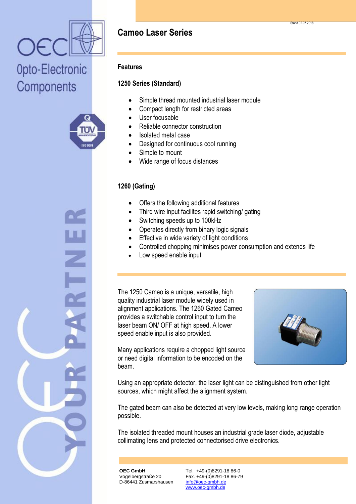



## **Features**

# **1250 Series (Standard)**

- Simple thread mounted industrial laser module
- Compact length for restricted areas
- User focusable
- Reliable connector construction
- Isolated metal case
- Designed for continuous cool running
- Simple to mount
- Wide range of focus distances

# **1260 (Gating)**

- Offers the following additional features
- Third wire input facilites rapid switching/ gating
- Switching speeds up to 100kHz
- Operates directly from binary logic signals
- Effective in wide variety of light conditions
- Controlled chopping minimises power consumption and extends life
- Low speed enable input

The 1250 Cameo is a unique, versatile, high quality industrial laser module widely used in alignment applications. The 1260 Gated Cameo provides a switchable control input to turn the laser beam ON/ OFF at high speed. A lower speed enable input is also provided.

Many applications require a chopped light source or need digital information to be encoded on the beam.

Using an appropriate detector, the laser light can be distinguished from other light sources, which might affect the alignment system.

The gated beam can also be detected at very low levels, making long range operation possible.

The isolated threaded mount houses an industrial grade laser diode, adjustable collimating lens and protected connectorised drive electronics.

**OEC GmbH** Vogelbergstraße 20 D-86441 Zusmarshausen

Tel. +49-(0)8291-18 86-0 Fax. +49-(0)8291-18 86-79 info@oec-gmbh.de www.oec-gmbh.de

Stand 02.07.2018

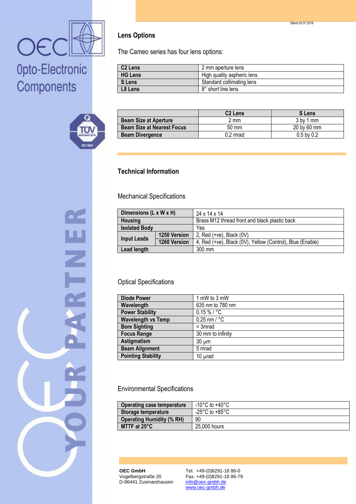



Z

### **Lens Options**

The Cameo series has four lens options:

| C2 Lens | 2 mm aperture lens         |
|---------|----------------------------|
| HG Lens | High quality aspheric lens |
| S Lens  | Standard collimating lens  |
| L8 Lens | 8° short line lens         |

|                                   | <b>C2 Lens</b>  | <b>S</b> Lens  |
|-----------------------------------|-----------------|----------------|
| <b>Beam Size at Aperture</b>      | mm!             | $3$ by 1 mm    |
| <b>Beam Size at Nearest Focus</b> | $50 \text{ mm}$ | 20 by 60 mm    |
| <b>Beam Divergence</b>            | $0.2$ mrad      | $0.5$ by $0.2$ |

### **Technical Information**

Mechanical Specifications

| Dimensions (L x W x H) |                     | 24 x 14 x 14                                              |
|------------------------|---------------------|-----------------------------------------------------------|
| <b>Housing</b>         |                     | Brass M12 thread front and black plastic back             |
| <b>Isolated Body</b>   |                     | Yes                                                       |
| <b>Input Leads</b>     | <b>1250 Version</b> | 2, Red $(+ve)$ , Black $(0V)$                             |
|                        | 1260 Version        | 4, Red (+ve), Black (0V), Yellow (Control), Blue (Enable) |
| Lead length            |                     | $300 \text{ mm}$                                          |

#### Optical Specifications

| <b>Diode Power</b>        | 1 mW to 3 mW             |
|---------------------------|--------------------------|
| Wavelength                | 635 nm to 780 nm         |
| <b>Power Stability</b>    | $0.15 \%$ / °C           |
| <b>Wavelength vs Temp</b> | $0.25$ nm / $^{\circ}$ C |
| <b>Bore Sighting</b>      | < 3mrad                  |
| <b>Focus Range</b>        | 30 mm to infinity        |
| Astigmatism               | $30 \mu m$               |
| <b>Beam Alignment</b>     | 5 mrad                   |
| <b>Pointing Stability</b> | $10 \mu rad$             |

#### Environmental Specifications

| <b>Operating case temperature</b> | -10°C to +40°C |
|-----------------------------------|----------------|
| Storage temperature               | -25°C to +85°C |
| <b>Operating Humidity (% RH)</b>  | 90             |
| MTTF at 25°C                      | 25,000 hours   |

**OEC GmbH** Vogelbergstraße 20 D-86441 Zusmarshausen

Tel. +49-(0)8291-18 86-0 Fax. +49-(0)8291-18 86-79 info@oec-gmbh.de www.oec-gmbh.de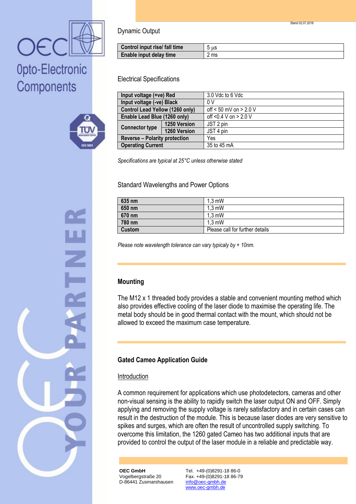



Dynamic Output

| Control input rise/ fall time | 5 us |
|-------------------------------|------|
| Enable input delay time       | 2 ms |

Electrical Specifications

| Input voltage (+ve) Red              |              | 3.0 Vdc to 6 Vdc           |
|--------------------------------------|--------------|----------------------------|
| Input voltage (-ve) Black            |              | 0 V                        |
| Control Lead Yellow (1260 only)      |              | off $< 50$ mV on $> 2.0$ V |
| Enable Lead Blue (1260 only)         |              | off <0.4 V on > 2.0 V      |
| <b>Connector type</b>                | 1250 Version | JST 2 pin                  |
|                                      | 1260 Version | JST 4 pin                  |
| <b>Reverse - Polarity protection</b> |              | Yes                        |
| <b>Operating Current</b>             |              | 35 to 45 mA                |

*Specifications are typical at 25°C unless otherwise stated*

#### Standard Wavelengths and Power Options

| 635 nm | $1.3 \text{ mW}$                |
|--------|---------------------------------|
| 650 nm | $1,3$ mW                        |
| 670 nm | $1.3 \text{ mW}$                |
| 780 nm | $1.3 \text{ mW}$                |
| Custom | Please call for further details |

*Please note wavelength tolerance can vary typicaly by + 10nm.*

#### **Mounting**

The M12 x 1 threaded body provides a stable and convenient mounting method which also provides effective cooling of the laser diode to maximise the operating life. The metal body should be in good thermal contact with the mount, which should not be allowed to exceed the maximum case temperature.

### **Gated Cameo Application Guide**

#### Introduction

A common requirement for applications which use photodetectors, cameras and other non-visual sensing is the ability to rapidly switch the laser output ON and OFF. Simply applying and removing the supply voltage is rarely satisfactory and in certain cases can result in the destruction of the module. This is because laser diodes are very sensitive to spikes and surges, which are often the result of uncontrolled supply switching. To overcome this limitation, the 1260 gated Cameo has two additional inputs that are provided to control the output of the laser module in a reliable and predictable way.

**OEC GmbH** Vogelbergstraße 20 D-86441 Zusmarshausen Tel. +49-(0)8291-18 86-0 Fax. +49-(0)8291-18 86-79 info@oec-gmbh.de www.oec-gmbh.de

Stand 02.07.2018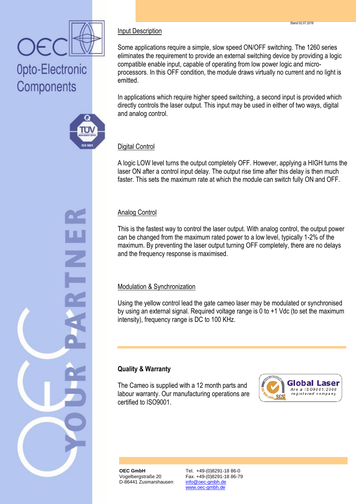



## Input Description

Some applications require a simple, slow speed ON/OFF switching. The 1260 series eliminates the requirement to provide an external switching device by providing a logic compatible enable input, capable of operating from low power logic and microprocessors. In this OFF condition, the module draws virtually no current and no light is emitted.

In applications which require higher speed switching, a second input is provided which directly controls the laser output. This input may be used in either of two ways, digital and analog control.

#### Digital Control

A logic LOW level turns the output completely OFF. However, applying a HIGH turns the laser ON after a control input delay. The output rise time after this delay is then much faster. This sets the maximum rate at which the module can switch fully ON and OFF.

#### Analog Control

This is the fastest way to control the laser output. With analog control, the output power can be changed from the maximum rated power to a low level, typically 1-2% of the maximum. By preventing the laser output turning OFF completely, there are no delays and the frequency response is maximised.

#### Modulation & Synchronization

Using the yellow control lead the gate cameo laser may be modulated or synchronised by using an external signal. Required voltage range is 0 to +1 Vdc (to set the maximum intensity), frequency range is DC to 100 KHz.

### **Quality & Warranty**

The Cameo is supplied with a 12 month parts and labour warranty. Our manufacturing operations are certified to ISO9001.



**OEC GmbH** Vogelbergstraße 20 D-86441 Zusmarshausen Tel. +49-(0)8291-18 86-0 Fax. +49-(0)8291-18 86-79 info@oec-gmbh.de www.oec-gmbh.de